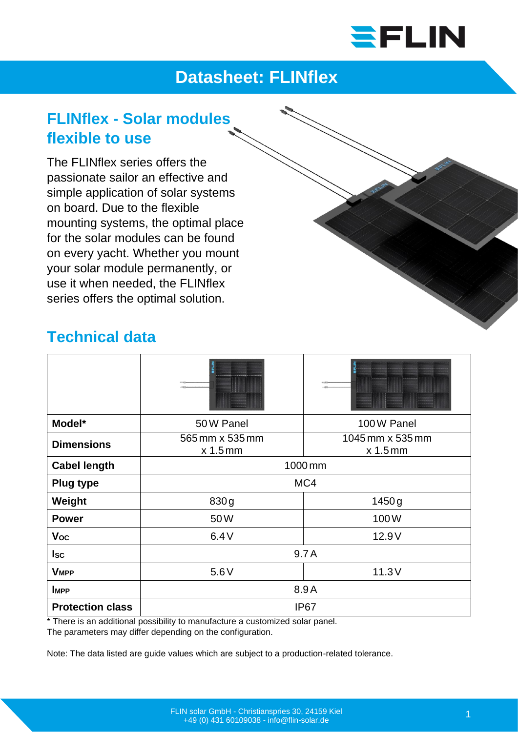

## **Datasheet: FLINflex**

## **FLINflex - Solar modules flexible to use**

The FLINflex series offers the passionate sailor an effective and simple application of solar systems on board. Due to the flexible mounting systems, the optimal place for the solar modules can be found on every yacht. Whether you mount your solar module permanently, or use it when needed, the FLINflex series offers the optimal solution.

## **Technical data**

| Model*                  | 50 W Panel                    | 100W Panel                     |
|-------------------------|-------------------------------|--------------------------------|
| <b>Dimensions</b>       | 565 mm x 535 mm<br>$x$ 1.5 mm | 1045 mm x 535 mm<br>$x 1.5$ mm |
| <b>Cabel length</b>     | 1000 mm                       |                                |
| <b>Plug type</b>        | MC4                           |                                |
| Weight                  | 830g                          | 1450 g                         |
| <b>Power</b>            | 50W                           | 100W                           |
| <b>Voc</b>              | 6.4V                          | 12.9V                          |
| $_{\sf lsc}$            | 9.7A                          |                                |
| <b>VMPP</b>             | 5.6V                          | 11.3V                          |
| <b>IMPP</b>             | 8.9A                          |                                |
| <b>Protection class</b> | <b>IP67</b>                   |                                |

\* There is an additional possibility to manufacture a customized solar panel. The parameters may differ depending on the configuration.

Note: The data listed are guide values which are subject to a production-related tolerance.